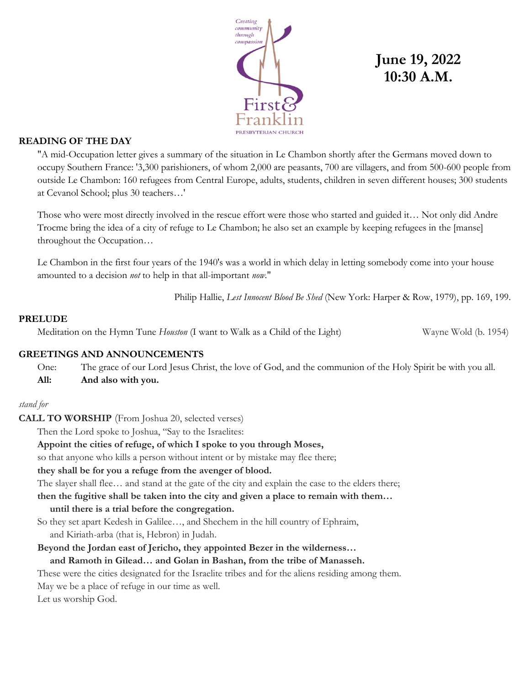

# **June 19, 2022 10:30 A.M.**

## **READING OF THE DAY**

"A mid-Occupation letter gives a summary of the situation in Le Chambon shortly after the Germans moved down to occupy Southern France: '3,300 parishioners, of whom 2,000 are peasants, 700 are villagers, and from 500-600 people from outside Le Chambon: 160 refugees from Central Europe, adults, students, children in seven different houses; 300 students at Cevanol School; plus 30 teachers…'

Those who were most directly involved in the rescue effort were those who started and guided it… Not only did Andre Trocme bring the idea of a city of refuge to Le Chambon; he also set an example by keeping refugees in the [manse] throughout the Occupation…

Le Chambon in the first four years of the 1940's was a world in which delay in letting somebody come into your house amounted to a decision *not* to help in that all-important *now*."

Philip Hallie, *Lest Innocent Blood Be Shed* (New York: Harper & Row, 1979), pp. 169, 199.

### **PRELUDE**

Meditation on the Hymn Tune *Houston* (I want to Walk as a Child of the Light) Wayne Wold (b. 1954)

### **GREETINGS AND ANNOUNCEMENTS**

One: The grace of our Lord Jesus Christ, the love of God, and the communion of the Holy Spirit be with you all. **All: And also with you.**

### *stand for*

**CALL TO WORSHIP** (From Joshua 20, selected verses)

Then the Lord spoke to Joshua, "Say to the Israelites:

### **Appoint the cities of refuge, of which I spoke to you through Moses,**

so that anyone who kills a person without intent or by mistake may flee there;

### **they shall be for you a refuge from the avenger of blood.**

The slayer shall flee… and stand at the gate of the city and explain the case to the elders there;

**then the fugitive shall be taken into the city and given a place to remain with them…** 

### **until there is a trial before the congregation.**

So they set apart Kedesh in Galilee…, and Shechem in the hill country of Ephraim, and Kiriath-arba (that is, Hebron) in Judah.

**Beyond the Jordan east of Jericho, they appointed Bezer in the wilderness…** 

### **and Ramoth in Gilead… and Golan in Bashan, from the tribe of Manasseh.**

These were the cities designated for the Israelite tribes and for the aliens residing among them.

May we be a place of refuge in our time as well.

Let us worship God.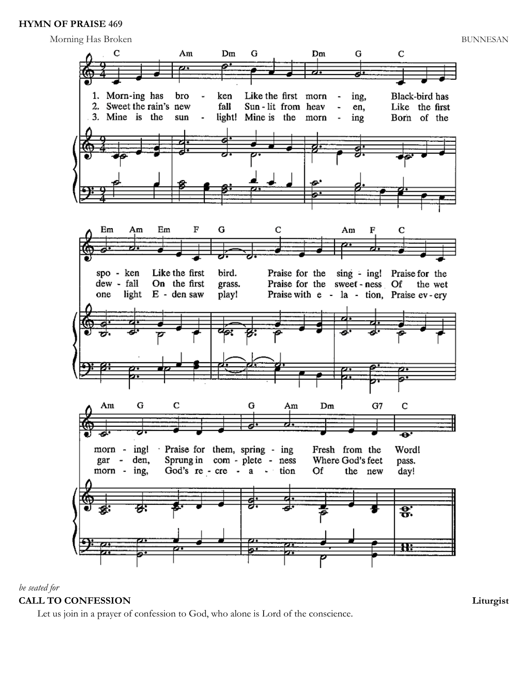## **HYMN OF PRAISE 469**



## *be seated for* **CALL TO CONFESSION Liturgist**

Let us join in a prayer of confession to God, who alone is Lord of the conscience.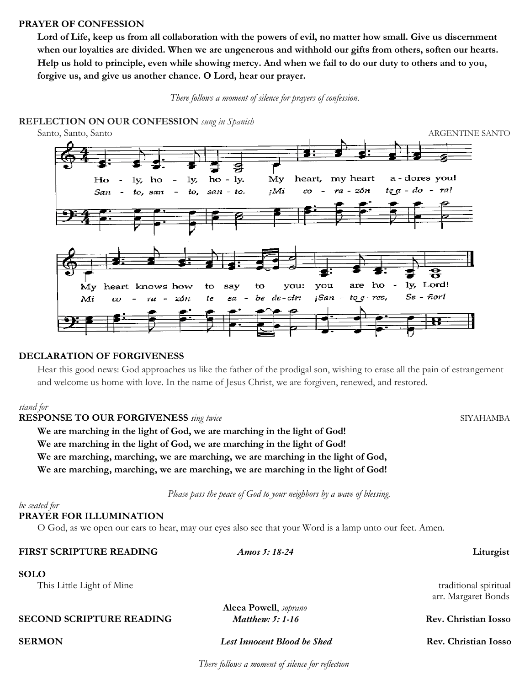#### **PRAYER OF CONFESSION**

**Lord of Life, keep us from all collaboration with the powers of evil, no matter how small. Give us discernment when our loyalties are divided. When we are ungenerous and withhold our gifts from others, soften our hearts. Help us hold to principle, even while showing mercy. And when we fail to do our duty to others and to you, forgive us, and give us another chance. O Lord, hear our prayer.**



**REFLECTION ON OUR CONFESSION** *sung in Spanish*



#### **DECLARATION OF FORGIVENESS**

Hear this good news: God approaches us like the father of the prodigal son, wishing to erase all the pain of estrangement and welcome us home with love. In the name of Jesus Christ, we are forgiven, renewed, and restored.

#### *stand for*

**RESPONSE TO OUR FORGIVENESS** *sing twice* SIYAHAMBA

**We are marching in the light of God, we are marching in the light of God!**

**We are marching in the light of God, we are marching in the light of God!**

**We are marching, marching, we are marching, we are marching in the light of God,**

**We are marching, marching, we are marching, we are marching in the light of God!**

 *Please pass the peace of God to your neighbors by a wave of blessing.*

#### *be seated for*

### **PRAYER FOR ILLUMINATION**

O God, as we open our ears to hear, may our eyes also see that your Word is a lamp unto our feet. Amen.

| FIRST SCRIPTURE READING         | Amos 5: 18-24                      | Liturgist             |
|---------------------------------|------------------------------------|-----------------------|
| <b>SOLO</b>                     |                                    |                       |
| This Little Light of Mine       |                                    | traditional spiritual |
|                                 |                                    | arr. Margaret Bonds   |
|                                 | Aleea Powell, soprano              |                       |
| <b>SECOND SCRIPTURE READING</b> | Matthew: $5:1-16$                  | Rev. Christian Iosso  |
| <b>SERMON</b>                   | <b>Lest Innocent Blood be Shed</b> | Rev. Christian Iosso  |

 *There follows a moment of silence for reflection*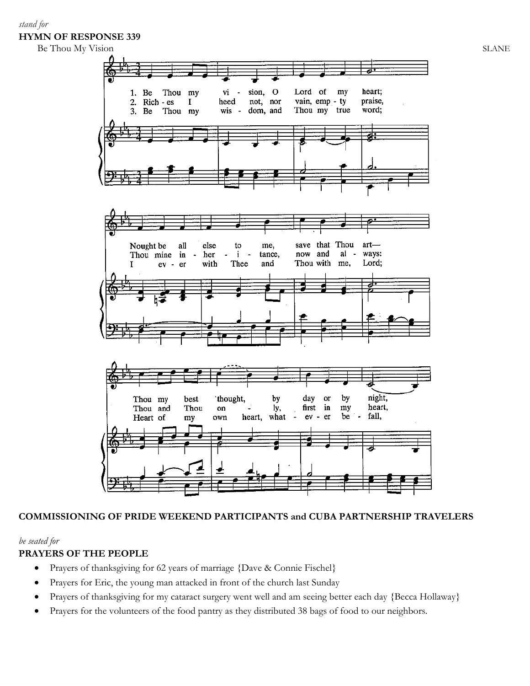## *stand for* **HYMN OF RESPONSE 339**

Be Thou My Vision SLANE



## **COMMISSIONING OF PRIDE WEEKEND PARTICIPANTS and CUBA PARTNERSHIP TRAVELERS**

### *be seated for*

## **PRAYERS OF THE PEOPLE**

- Prayers of thanksgiving for 62 years of marriage {Dave & Connie Fischel}
- Prayers for Eric, the young man attacked in front of the church last Sunday
- Prayers of thanksgiving for my cataract surgery went well and am seeing better each day {Becca Hollaway}
- Prayers for the volunteers of the food pantry as they distributed 38 bags of food to our neighbors.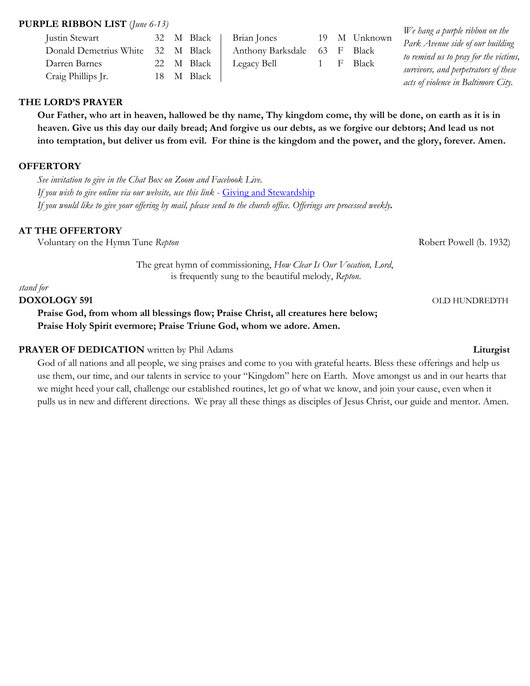## **PURPLE RIBBON LIST** (*June 6-13)*

| $\mathbf{H}$ DISTRIBUTED TO $\mathbf{H}$ (this vertice) |     |            |            |                   |    |    |           | We hang a purple ribbon on the        |
|---------------------------------------------------------|-----|------------|------------|-------------------|----|----|-----------|---------------------------------------|
| Justin Stewart                                          |     | 32 M Black |            | Brian Jones       | 19 |    | M Unknown |                                       |
| Donald Demetrius White                                  | 32. | M Black    |            | Anthony Barksdale | 63 | -⊢ | Black     | Park Avenue side of our building      |
| Darren Barnes                                           |     | 22 M Black |            | Legacy Bell       |    |    | Black     | to remind us to pray for the victims, |
| Craig Phillips Jr.                                      |     |            | 18 M Black |                   |    |    |           | survivors, and perpetrators of these  |
|                                                         |     |            |            |                   |    |    |           | acts of violence in Baltimore City.   |

## **THE LORD'S PRAYER**

**Our Father, who art in heaven, hallowed be thy name, Thy kingdom come, thy will be done, on earth as it is in heaven. Give us this day our daily bread; And forgive us our debts, as we forgive our debtors; And lead us not into temptation, but deliver us from evil. For thine is the kingdom and the power, and the glory, forever. Amen.**

## **OFFERTORY**

*See invitation to give in the Chat Box on Zoom and Facebook Live. If you wish to give online via our website, use this link* - Giving and Stewardship *If you would like to give your offering by mail, please send to the church office. Offerings are processed weekly.*

## **AT THE OFFERTORY**

Voluntary on the Hymn Tune *Repton* and *Repton* Robert Powell (b. 1932)

The great hymn of commissioning, *How Clear Is Our Vocation, Lord*, is frequently sung to the beautiful melody, *Repton*.

#### *stand for*

#### **DOXOLOGY 591** OLD HUNDREDTH

**Praise God, from whom all blessings flow; Praise Christ, all creatures here below; Praise Holy Spirit evermore; Praise Triune God, whom we adore. Amen.**

### **PRAYER OF DEDICATION** written by Phil Adams **Liturgist** Liturgist

God of all nations and all people, we sing praises and come to you with grateful hearts. Bless these offerings and help us use them, our time, and our talents in service to your "Kingdom" here on Earth. Move amongst us and in our hearts that we might heed your call, challenge our established routines, let go of what we know, and join your cause, even when it pulls us in new and different directions. We pray all these things as disciples of Jesus Christ, our guide and mentor. Amen.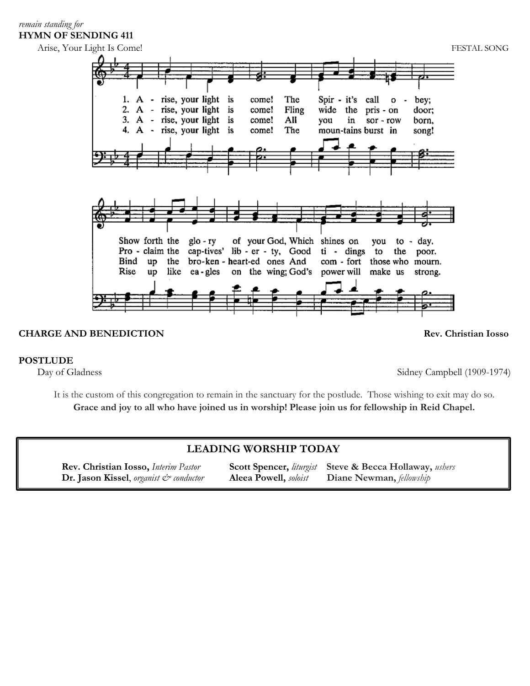## *remain standing for* **HYMN OF SENDING 411**



## **CHARGE AND BENEDICTION Rev. Christian Iosso**

### **POSTLUDE**

Day of Gladness Sidney Campbell (1909-1974)

It is the custom of this congregation to remain in the sanctuary for the postlude. Those wishing to exit may do so. **Grace and joy to all who have joined us in worship! Please join us for fellowship in Reid Chapel.**

## **LEADING WORSHIP TODAY**

**Rev. Christian Iosso,** *Interim Pastor* **Scott Spencer,** *liturgist* **Steve & Becca Hollaway,** *ushers* **Dr. Jason Kissel**, *organist & conductor* **Aleea Powell,** *soloist* **Diane Newman,** *fellowship*